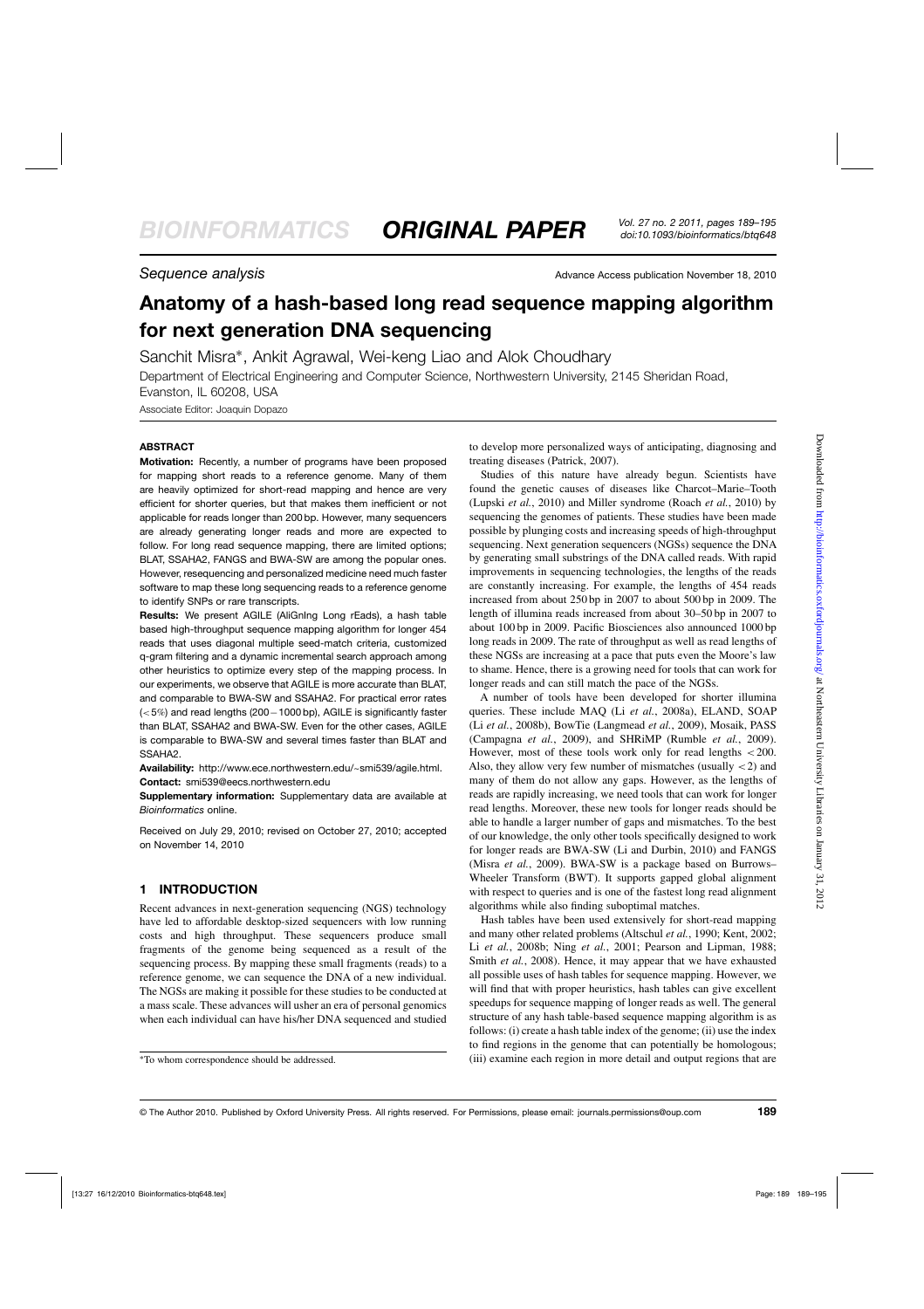# **Anatomy of a hash-based long read sequence mapping algorithm for next generation DNA sequencing**

Sanchit Misra∗, Ankit Agrawal, Wei-keng Liao and Alok Choudhary Department of Electrical Engineering and Computer Science, Northwestern University, 2145 Sheridan Road, Evanston, IL 60208, USA Associate Editor: Joaquin Dopazo

#### **ABSTRACT**

**Motivation:** Recently, a number of programs have been proposed for mapping short reads to a reference genome. Many of them are heavily optimized for short-read mapping and hence are very efficient for shorter queries, but that makes them inefficient or not applicable for reads longer than 200 bp. However, many sequencers are already generating longer reads and more are expected to follow. For long read sequence mapping, there are limited options; BLAT, SSAHA2, FANGS and BWA-SW are among the popular ones. However, resequencing and personalized medicine need much faster software to map these long sequencing reads to a reference genome to identify SNPs or rare transcripts.

**Results:** We present AGILE (AliGnIng Long rEads), a hash table based high-throughput sequence mapping algorithm for longer 454 reads that uses diagonal multiple seed-match criteria, customized q-gram filtering and a dynamic incremental search approach among other heuristics to optimize every step of the mapping process. In our experiments, we observe that AGILE is more accurate than BLAT, and comparable to BWA-SW and SSAHA2. For practical error rates (<5%) and read lengths (200−1000 bp), AGILE is significantly faster than BLAT, SSAHA2 and BWA-SW. Even for the other cases, AGILE is comparable to BWA-SW and several times faster than BLAT and SSAHA2.

**Availability:** [http://www.ece.northwestern.edu/~smi539/agile.html.](http://www.ece.northwestern.edu/~smi539/agile.html) **Contact:** smi539@eecs.northwestern.edu

**Supplementary information:** Supplementary data are available at *Bioinformatics* online.

Received on July 29, 2010; revised on October 27, 2010; accepted on November 14, 2010

# **1 INTRODUCTION**

Recent advances in next-generation sequencing (NGS) technology have led to affordable desktop-sized sequencers with low running costs and high throughput. These sequencers produce small fragments of the genome being sequenced as a result of the sequencing process. By mapping these small fragments (reads) to a reference genome, we can sequence the DNA of a new individual. The NGSs are making it possible for these studies to be conducted at a mass scale. These advances will usher an era of personal genomics when each individual can have his/her DNA sequenced and studied to develop more personalized ways of anticipating, diagnosing and treating diseases (Patrick, 2007).

Studies of this nature have already begun. Scientists have found the genetic causes of diseases like Charcot–Marie–Tooth (Lupski *et al.*, 2010) and Miller syndrome (Roach *et al.*, 2010) by sequencing the genomes of patients. These studies have been made possible by plunging costs and increasing speeds of high-throughput sequencing. Next generation sequencers (NGSs) sequence the DNA by generating small substrings of the DNA called reads. With rapid improvements in sequencing technologies, the lengths of the reads are constantly increasing. For example, the lengths of 454 reads increased from about 250 bp in 2007 to about 500 bp in 2009. The length of illumina reads increased from about 30–50 bp in 2007 to about 100 bp in 2009. Pacific Biosciences also announced 1000 bp long reads in 2009. The rate of throughput as well as read lengths of these NGSs are increasing at a pace that puts even the Moore's law to shame. Hence, there is a growing need for tools that can work for longer reads and can still match the pace of the NGSs.

A number of tools have been developed for shorter illumina queries. These include MAQ (Li *et al.*, 2008a), ELAND, SOAP (Li *et al.*, 2008b), BowTie (Langmead *et al.*, 2009), Mosaik, PASS (Campagna *et al.*, 2009), and SHRiMP (Rumble *et al.*, 2009). However, most of these tools work only for read lengths <200. Also, they allow very few number of mismatches (usually  $\langle 2 \rangle$ ) and many of them do not allow any gaps. However, as the lengths of reads are rapidly increasing, we need tools that can work for longer read lengths. Moreover, these new tools for longer reads should be able to handle a larger number of gaps and mismatches. To the best of our knowledge, the only other tools specifically designed to work for longer reads are BWA-SW (Li and Durbin, 2010) and FANGS (Misra *et al.*, 2009). BWA-SW is a package based on Burrows– Wheeler Transform (BWT). It supports gapped global alignment with respect to queries and is one of the fastest long read alignment algorithms while also finding suboptimal matches.

Hash tables have been used extensively for short-read mapping and many other related problems (Altschul *et al.*, 1990; Kent, 2002; Li *et al.*, 2008b; Ning *et al.*, 2001; Pearson and Lipman, 1988; Smith *et al.*, 2008). Hence, it may appear that we have exhausted all possible uses of hash tables for sequence mapping. However, we will find that with proper heuristics, hash tables can give excellent speedups for sequence mapping of longer reads as well. The general structure of any hash table-based sequence mapping algorithm is as follows: (i) create a hash table index of the genome; (ii) use the index to find regions in the genome that can potentially be homologous; (iii) examine each region in more detail and output regions that are

<sup>∗</sup>To whom correspondence should be addressed.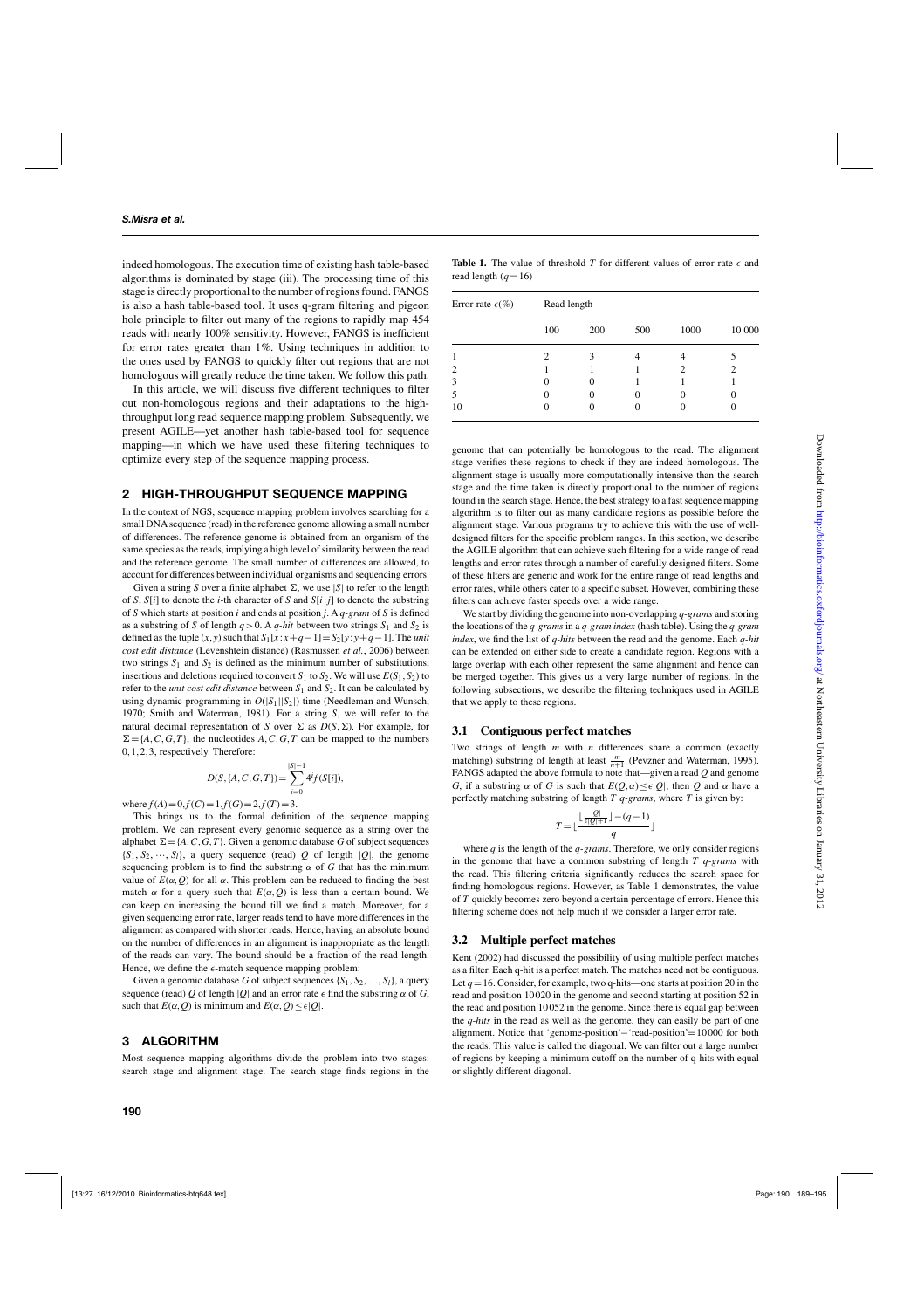indeed homologous. The execution time of existing hash table-based algorithms is dominated by stage (iii). The processing time of this stage is directly proportional to the number of regions found. FANGS is also a hash table-based tool. It uses q-gram filtering and pigeon hole principle to filter out many of the regions to rapidly map 454 reads with nearly 100% sensitivity. However, FANGS is inefficient for error rates greater than 1%. Using techniques in addition to the ones used by FANGS to quickly filter out regions that are not homologous will greatly reduce the time taken. We follow this path.

In this article, we will discuss five different techniques to filter out non-homologous regions and their adaptations to the highthroughput long read sequence mapping problem. Subsequently, we present AGILE—yet another hash table-based tool for sequence mapping—in which we have used these filtering techniques to optimize every step of the sequence mapping process.

#### **2 HIGH-THROUGHPUT SEQUENCE MAPPING**

In the context of NGS, sequence mapping problem involves searching for a small DNA sequence (read) in the reference genome allowing a small number of differences. The reference genome is obtained from an organism of the same species as the reads, implying a high level of similarity between the read and the reference genome. The small number of differences are allowed, to account for differences between individual organisms and sequencing errors.

Given a string *S* over a finite alphabet  $\Sigma$ , we use |*S*| to refer to the length of *S*, *S*[*i*] to denote the *i*-th character of *S* and *S*[*i*:*j*] to denote the substring of *S* which starts at position *i* and ends at position *j*. A *q-gram* of *S* is defined as a substring of *S* of length  $q > 0$ . A *q-hit* between two strings  $S_1$  and  $S_2$  is defined as the tuple  $(x, y)$  such that  $S_1[x : x + q - 1] = S_2[y : y + q - 1]$ . The *unit cost edit distance* (Levenshtein distance) (Rasmussen *et al.*, 2006) between two strings  $S_1$  and  $S_2$  is defined as the minimum number of substitutions, insertions and deletions required to convert  $S_1$  to  $S_2$ . We will use  $E(S_1, S_2)$  to refer to the *unit cost edit distance* between  $S_1$  and  $S_2$ . It can be calculated by using dynamic programming in  $O(|S_1||S_2|)$  time (Needleman and Wunsch, 1970; Smith and Waterman, 1981). For a string *S*, we will refer to the natural decimal representation of *S* over  $\Sigma$  as  $D(S, \Sigma)$ . For example, for  $\Sigma = \{A, C, G, T\}$ , the nucleotides  $A, C, G, T$  can be mapped to the numbers 0,1,2,3, respectively. Therefore:

$$
D(S, \{A, C, G, T\}) = \sum_{i=0}^{|S|-1} 4^{i} f(S[i]),
$$

where  $f(A) = 0, f(C) = 1, f(G) = 2, f(T) = 3.$ 

This brings us to the formal definition of the sequence mapping problem. We can represent every genomic sequence as a string over the alphabet  $\Sigma = \{A, C, G, T\}$ . Given a genomic database *G* of subject sequences  ${S_1, S_2, \dots, S_l}$ , a query sequence (read) *Q* of length  $|Q|$ , the genome sequencing problem is to find the substring  $\alpha$  of *G* that has the minimum value of  $E(\alpha, Q)$  for all  $\alpha$ . This problem can be reduced to finding the best match  $\alpha$  for a query such that  $E(\alpha, Q)$  is less than a certain bound. We can keep on increasing the bound till we find a match. Moreover, for a given sequencing error rate, larger reads tend to have more differences in the alignment as compared with shorter reads. Hence, having an absolute bound on the number of differences in an alignment is inappropriate as the length of the reads can vary. The bound should be a fraction of the read length. Hence, we define the  $\epsilon$ -match sequence mapping problem:

Given a genomic database *G* of subject sequences  $\{S_1, S_2, ..., S_l\}$ , a query sequence (read) *Q* of length  $|Q|$  and an error rate  $\epsilon$  find the substring  $\alpha$  of *G*, such that  $E(\alpha, Q)$  is minimum and  $E(\alpha, Q) \leq \epsilon |Q|$ .

#### **3 ALGORITHM**

Most sequence mapping algorithms divide the problem into two stages: search stage and alignment stage. The search stage finds regions in the

**Table 1.** The value of threshold *T* for different values of error rate  $\epsilon$  and read length  $(a=16)$ 

| 200 | 500 | 1000                        | 10 000 |
|-----|-----|-----------------------------|--------|
|     |     |                             |        |
|     |     |                             |        |
|     |     | $\mathcal{D}_{\mathcal{L}}$ | っ      |
| 0   |     |                             |        |
| 0   |     | $\mathbf{\Omega}$           |        |
| C   |     |                             |        |
|     |     |                             |        |

genome that can potentially be homologous to the read. The alignment stage verifies these regions to check if they are indeed homologous. The alignment stage is usually more computationally intensive than the search stage and the time taken is directly proportional to the number of regions found in the search stage. Hence, the best strategy to a fast sequence mapping algorithm is to filter out as many candidate regions as possible before the alignment stage. Various programs try to achieve this with the use of welldesigned filters for the specific problem ranges. In this section, we describe the AGILE algorithm that can achieve such filtering for a wide range of read lengths and error rates through a number of carefully designed filters. Some of these filters are generic and work for the entire range of read lengths and error rates, while others cater to a specific subset. However, combining these filters can achieve faster speeds over a wide range.

We start by dividing the genome into non-overlapping *q-grams* and storing the locations of the *q-grams* in a *q-gram index* (hash table). Using the *q-gram index*, we find the list of *q-hits* between the read and the genome. Each *q-hit* can be extended on either side to create a candidate region. Regions with a large overlap with each other represent the same alignment and hence can be merged together. This gives us a very large number of regions. In the following subsections, we describe the filtering techniques used in AGILE that we apply to these regions.

#### **3.1 Contiguous perfect matches**

Two strings of length *m* with *n* differences share a common (exactly matching) substring of length at least  $\frac{m}{n+1}$  (Pevzner and Waterman, 1995). FANGS adapted the above formula to note that—given a read *Q* and genome *G*, if a substring  $\alpha$  of *G* is such that  $E(Q, \alpha) \leq \epsilon |Q|$ , then *Q* and  $\alpha$  have a perfectly matching substring of length *T q-grams*, where *T* is given by:

$$
T = \lfloor \frac{\lfloor \frac{|Q|}{\epsilon |Q| + 1} \rfloor - (q - 1)}{q} \rfloor
$$

where *q* is the length of the *q-grams*. Therefore, we only consider regions in the genome that have a common substring of length *T q-grams* with the read. This filtering criteria significantly reduces the search space for finding homologous regions. However, as Table 1 demonstrates, the value of *T* quickly becomes zero beyond a certain percentage of errors. Hence this filtering scheme does not help much if we consider a larger error rate.

#### **3.2 Multiple perfect matches**

Kent (2002) had discussed the possibility of using multiple perfect matches as a filter. Each q-hit is a perfect match. The matches need not be contiguous. Let  $q = 16$ . Consider, for example, two q-hits—one starts at position 20 in the read and position 10020 in the genome and second starting at position 52 in the read and position 10052 in the genome. Since there is equal gap between the *q-hits* in the read as well as the genome, they can easily be part of one alignment. Notice that 'genome-position'−'read-position'=10000 for both the reads. This value is called the diagonal. We can filter out a large number of regions by keeping a minimum cutoff on the number of q-hits with equal or slightly different diagonal.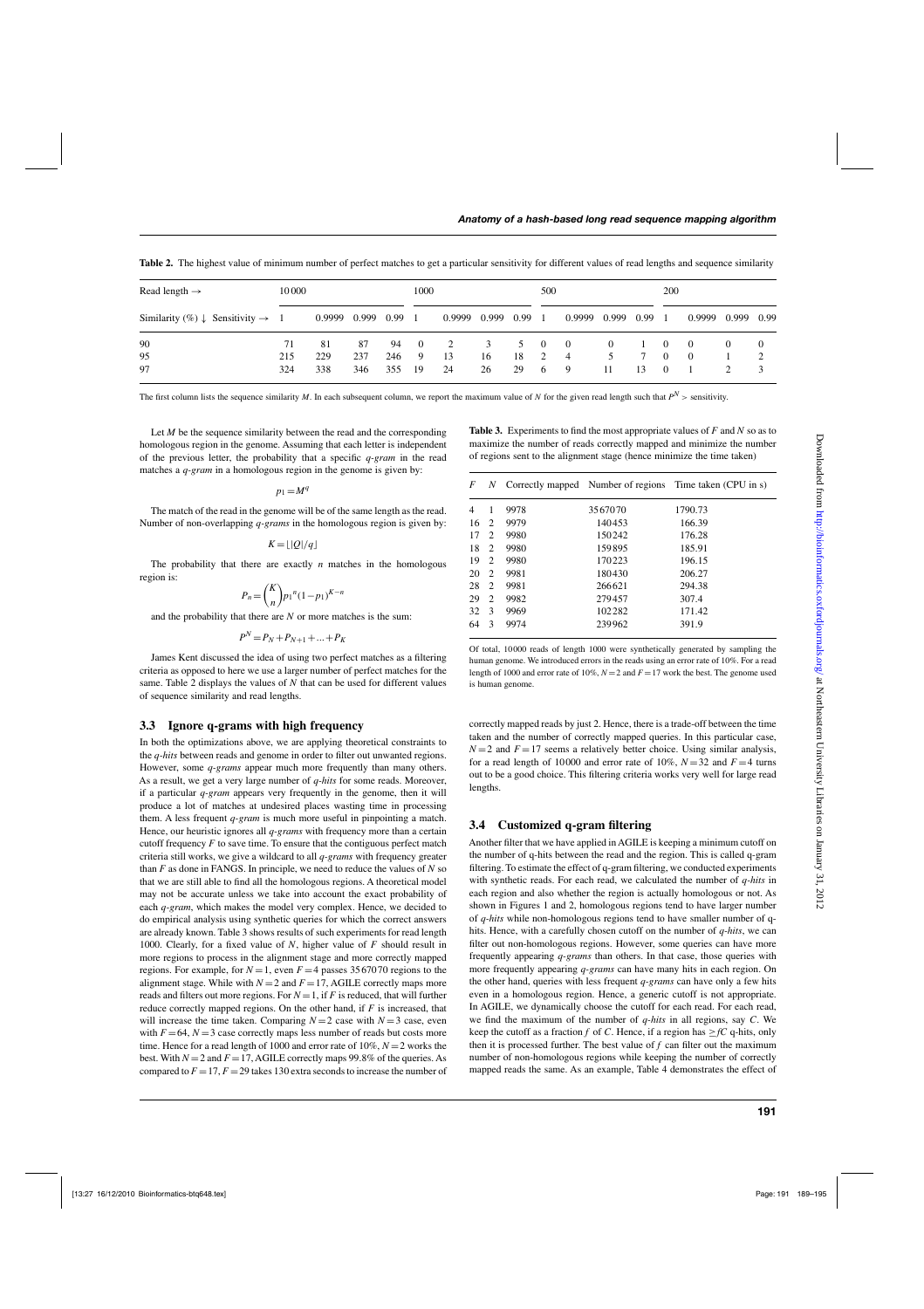| Read length $\rightarrow$                               | 10 000 |        |       |      | 1000           |              |    | 500            |     |                | <b>200</b> |                |          |          |          |      |
|---------------------------------------------------------|--------|--------|-------|------|----------------|--------------|----|----------------|-----|----------------|------------|----------------|----------|----------|----------|------|
| Similarity (%) $\downarrow$ Sensitivity $\rightarrow$ 1 |        | 0.9999 | 0.999 | 0.99 |                | 0.9999 0.999 |    | $0.99 \quad 1$ |     | 0.9999         | 0.999      | $0.99 \quad 1$ |          | 0.9999   | 0.999    | 0.99 |
| 90                                                      | 71     | 81     | 87    | 94   | $\overline{0}$ | -2           | 3  | 5              | - 0 | $\overline{0}$ | $\theta$   |                | $\Omega$ | 0        | $\theta$ |      |
| 95                                                      | 215    | 229    | 237   | 246  | 9              | 13           | 16 | 18             | 2   | -4             | 5          |                | $\Omega$ | $\Omega$ |          |      |
| 97                                                      | 324    | 338    | 346   | 355  | 19             | 24           | 26 | 29             | -6  | - 9            | 11         | 13             | $\Omega$ |          |          |      |

Table 2. The highest value of minimum number of perfect matches to get a particular sensitivity for different values of read lengths and sequence similarity

The first column lists the sequence similarity *M*. In each subsequent column, we report the maximum value of *N* for the given read length such that *P<sup>N</sup>* > sensitivity.

Let *M* be the sequence similarity between the read and the corresponding homologous region in the genome. Assuming that each letter is independent of the previous letter, the probability that a specific *q-gram* in the read matches a *q-gram* in a homologous region in the genome is given by:

$$
p_1 = M^q
$$

The match of the read in the genome will be of the same length as the read. Number of non-overlapping *q-grams* in the homologous region is given by:

$$
K = \lfloor |Q|/q \rfloor
$$

The probability that there are exactly  $n$  matches in the homologous region is:

$$
P_n = \binom{K}{n} p_1^{n} (1 - p_1)^{K - n}
$$

and the probability that there are *N* or more matches is the sum:

$$
P^N = P_N + P_{N+1} + \dots + P_K
$$

James Kent discussed the idea of using two perfect matches as a filtering criteria as opposed to here we use a larger number of perfect matches for the same. Table 2 displays the values of *N* that can be used for different values of sequence similarity and read lengths.

#### **3.3 Ignore q-grams with high frequency**

In both the optimizations above, we are applying theoretical constraints to the *q-hits* between reads and genome in order to filter out unwanted regions. However, some *q-grams* appear much more frequently than many others. As a result, we get a very large number of *q-hits* for some reads. Moreover, if a particular *q-gram* appears very frequently in the genome, then it will produce a lot of matches at undesired places wasting time in processing them. A less frequent *q-gram* is much more useful in pinpointing a match. Hence, our heuristic ignores all *q-grams* with frequency more than a certain cutoff frequency  $F$  to save time. To ensure that the contiguous perfect match criteria still works, we give a wildcard to all *q-grams* with frequency greater than *F* as done in FANGS. In principle, we need to reduce the values of *N* so that we are still able to find all the homologous regions. A theoretical model may not be accurate unless we take into account the exact probability of each *q-gram*, which makes the model very complex. Hence, we decided to do empirical analysis using synthetic queries for which the correct answers are already known. Table 3 shows results of such experiments for read length 1000. Clearly, for a fixed value of *N*, higher value of *F* should result in more regions to process in the alignment stage and more correctly mapped regions. For example, for  $N = 1$ , even  $F = 4$  passes 3567070 regions to the alignment stage. While with  $N = 2$  and  $F = 17$ , AGILE correctly maps more reads and filters out more regions. For  $N = 1$ , if *F* is reduced, that will further reduce correctly mapped regions. On the other hand, if *F* is increased, that will increase the time taken. Comparing  $N = 2$  case with  $N = 3$  case, even with  $F = 64$ ,  $N = 3$  case correctly maps less number of reads but costs more time. Hence for a read length of 1000 and error rate of 10%,  $N = 2$  works the best. With  $N = 2$  and  $F = 17$ , AGILE correctly maps 99.8% of the queries. As compared to  $F = 17$ ,  $F = 29$  takes 130 extra seconds to increase the number of

**Table 3.** Experiments to find the most appropriate values of *F* and *N* so as to maximize the number of reads correctly mapped and minimize the number of regions sent to the alignment stage (hence minimize the time taken)

| F  | N              |      |         | Correctly mapped Number of regions Time taken (CPU in s) |
|----|----------------|------|---------|----------------------------------------------------------|
| 4  | 1              | 9978 | 3567070 | 1790.73                                                  |
| 16 | 2              | 9979 | 140453  | 166.39                                                   |
| 17 | $\overline{c}$ | 9980 | 150242  | 176.28                                                   |
| 18 | 2              | 9980 | 159895  | 185.91                                                   |
| 19 | 2              | 9980 | 170223  | 196.15                                                   |
| 20 | 2              | 9981 | 180430  | 206.27                                                   |
| 28 | 2              | 9981 | 266621  | 294.38                                                   |
| 29 | 2              | 9982 | 279457  | 307.4                                                    |
| 32 | 3              | 9969 | 102282  | 171.42                                                   |
| 64 | $\mathcal{F}$  | 9974 | 239962  | 391.9                                                    |

Of total, 10000 reads of length 1000 were synthetically generated by sampling the human genome. We introduced errors in the reads using an error rate of 10%. For a read length of 1000 and error rate of 10%,  $N = 2$  and  $F = 17$  work the best. The genome used is human genome.

correctly mapped reads by just 2. Hence, there is a trade-off between the time taken and the number of correctly mapped queries. In this particular case,  $N=2$  and  $F=17$  seems a relatively better choice. Using similar analysis, for a read length of 10000 and error rate of 10%,  $N = 32$  and  $F = 4$  turns out to be a good choice. This filtering criteria works very well for large read lengths.

#### **3.4 Customized q-gram filtering**

Another filter that we have applied in AGILE is keeping a minimum cutoff on the number of q-hits between the read and the region. This is called q-gram filtering. To estimate the effect of q-gram filtering, we conducted experiments with synthetic reads. For each read, we calculated the number of *q-hits* in each region and also whether the region is actually homologous or not. As shown in Figures 1 and 2, homologous regions tend to have larger number of *q-hits* while non-homologous regions tend to have smaller number of qhits. Hence, with a carefully chosen cutoff on the number of *q-hits*, we can filter out non-homologous regions. However, some queries can have more frequently appearing *q-grams* than others. In that case, those queries with more frequently appearing *q-grams* can have many hits in each region. On the other hand, queries with less frequent *q-grams* can have only a few hits even in a homologous region. Hence, a generic cutoff is not appropriate. In AGILE, we dynamically choose the cutoff for each read. For each read, we find the maximum of the number of *q-hits* in all regions, say *C*. We keep the cutoff as a fraction *f* of *C*. Hence, if a region has  $\geq fC$  q-hits, only then it is processed further. The best value of *f* can filter out the maximum number of non-homologous regions while keeping the number of correctly mapped reads the same. As an example, Table 4 demonstrates the effect of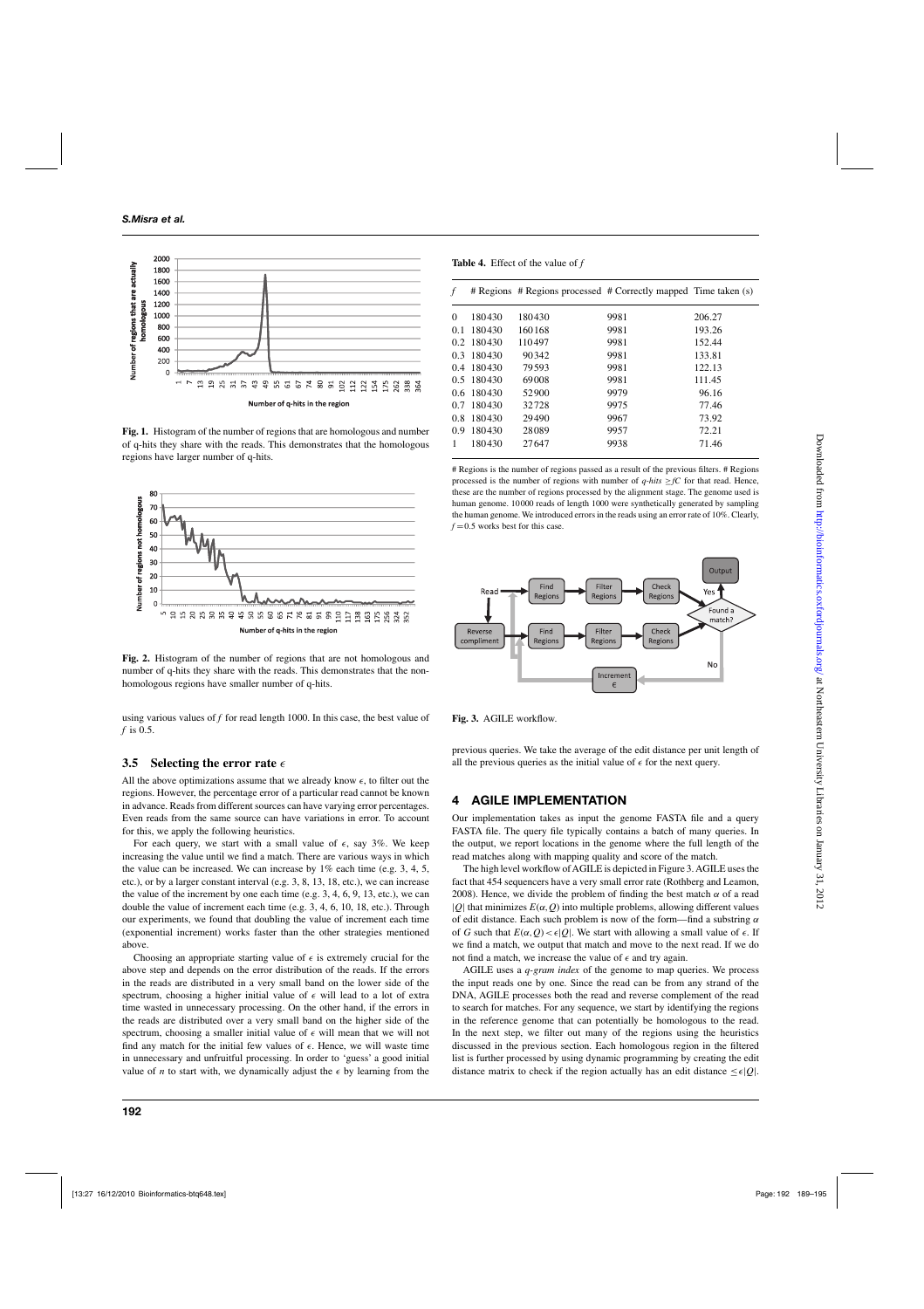

**Fig. 1.** Histogram of the number of regions that are homologous and number of q-hits they share with the reads. This demonstrates that the homologous regions have larger number of q-hits.



**Fig. 2.** Histogram of the number of regions that are not homologous and number of q-hits they share with the reads. This demonstrates that the nonhomologous regions have smaller number of q-hits.

using various values of *f* for read length 1000. In this case, the best value of *f* is 0.5.

#### **3.5 Selecting the error rate**

All the above optimizations assume that we already know  $\epsilon$ , to filter out the regions. However, the percentage error of a particular read cannot be known in advance. Reads from different sources can have varying error percentages. Even reads from the same source can have variations in error. To account for this, we apply the following heuristics.

For each query, we start with a small value of  $\epsilon$ , say 3%. We keep increasing the value until we find a match. There are various ways in which the value can be increased. We can increase by 1% each time (e.g. 3, 4, 5, etc.), or by a larger constant interval (e.g. 3, 8, 13, 18, etc.), we can increase the value of the increment by one each time (e.g. 3, 4, 6, 9, 13, etc.), we can double the value of increment each time (e.g. 3, 4, 6, 10, 18, etc.). Through our experiments, we found that doubling the value of increment each time (exponential increment) works faster than the other strategies mentioned above.

Choosing an appropriate starting value of  $\epsilon$  is extremely crucial for the above step and depends on the error distribution of the reads. If the errors in the reads are distributed in a very small band on the lower side of the spectrum, choosing a higher initial value of  $\epsilon$  will lead to a lot of extra time wasted in unnecessary processing. On the other hand, if the errors in the reads are distributed over a very small band on the higher side of the spectrum, choosing a smaller initial value of  $\epsilon$  will mean that we will not find any match for the initial few values of  $\epsilon$ . Hence, we will waste time in unnecessary and unfruitful processing. In order to 'guess' a good initial value of *n* to start with, we dynamically adjust the  $\epsilon$  by learning from the

|               |            | # Regions # Regions processed # Correctly mapped Time taken (s) |      |        |
|---------------|------------|-----------------------------------------------------------------|------|--------|
| $\Omega$      | 180430     | 180430                                                          | 9981 | 206.27 |
| 0.1           | 180430     | 160168                                                          | 9981 | 193.26 |
| 0.2           | 180430     | 110497                                                          | 9981 | 152.44 |
| 0.3           | 180430     | 90342                                                           | 9981 | 133.81 |
|               | 0.4 180430 | 79593                                                           | 9981 | 122.13 |
|               | 0.5 180430 | 69008                                                           | 9981 | 111.45 |
| $0.6^{\circ}$ | 180430     | 52900                                                           | 9979 | 96.16  |
| 0.7           | 180430     | 32728                                                           | 9975 | 77.46  |
| 0.8           | 180430     | 29490                                                           | 9967 | 73.92  |
| 0.9           | 180430     | 28089                                                           | 9957 | 72.21  |
|               | 180430     | 27647                                                           | 9938 | 71.46  |
|               |            |                                                                 |      |        |

# Regions is the number of regions passed as a result of the previous filters. # Regions processed is the number of regions with number of  $q$ -hits  $\geq$  for that read. Hence, these are the number of regions processed by the alignment stage. The genome used is human genome. 10000 reads of length 1000 were synthetically generated by sampling the human genome. We introduced errors in the reads using an error rate of 10%. Clearly,  $f = 0.5$  works best for this case.



**Fig. 3.** AGILE workflow.

previous queries. We take the average of the edit distance per unit length of all the previous queries as the initial value of  $\epsilon$  for the next query.

### **4 AGILE IMPLEMENTATION**

Our implementation takes as input the genome FASTA file and a query FASTA file. The query file typically contains a batch of many queries. In the output, we report locations in the genome where the full length of the read matches along with mapping quality and score of the match.

The high level workflow of AGILE is depicted in Figure 3. AGILE uses the fact that 454 sequencers have a very small error rate (Rothberg and Leamon, 2008). Hence, we divide the problem of finding the best match  $\alpha$  of a read | $Q$ | that minimizes  $E(\alpha, Q)$  into multiple problems, allowing different values of edit distance. Each such problem is now of the form—find a substring  $\alpha$ of *G* such that  $E(\alpha, Q) < \epsilon |Q|$ . We start with allowing a small value of  $\epsilon$ . If we find a match, we output that match and move to the next read. If we do not find a match, we increase the value of  $\epsilon$  and try again.

AGILE uses a *q-gram index* of the genome to map queries. We process the input reads one by one. Since the read can be from any strand of the DNA, AGILE processes both the read and reverse complement of the read to search for matches. For any sequence, we start by identifying the regions in the reference genome that can potentially be homologous to the read. In the next step, we filter out many of the regions using the heuristics discussed in the previous section. Each homologous region in the filtered list is further processed by using dynamic programming by creating the edit distance matrix to check if the region actually has an edit distance  $\leq \epsilon |Q|$ .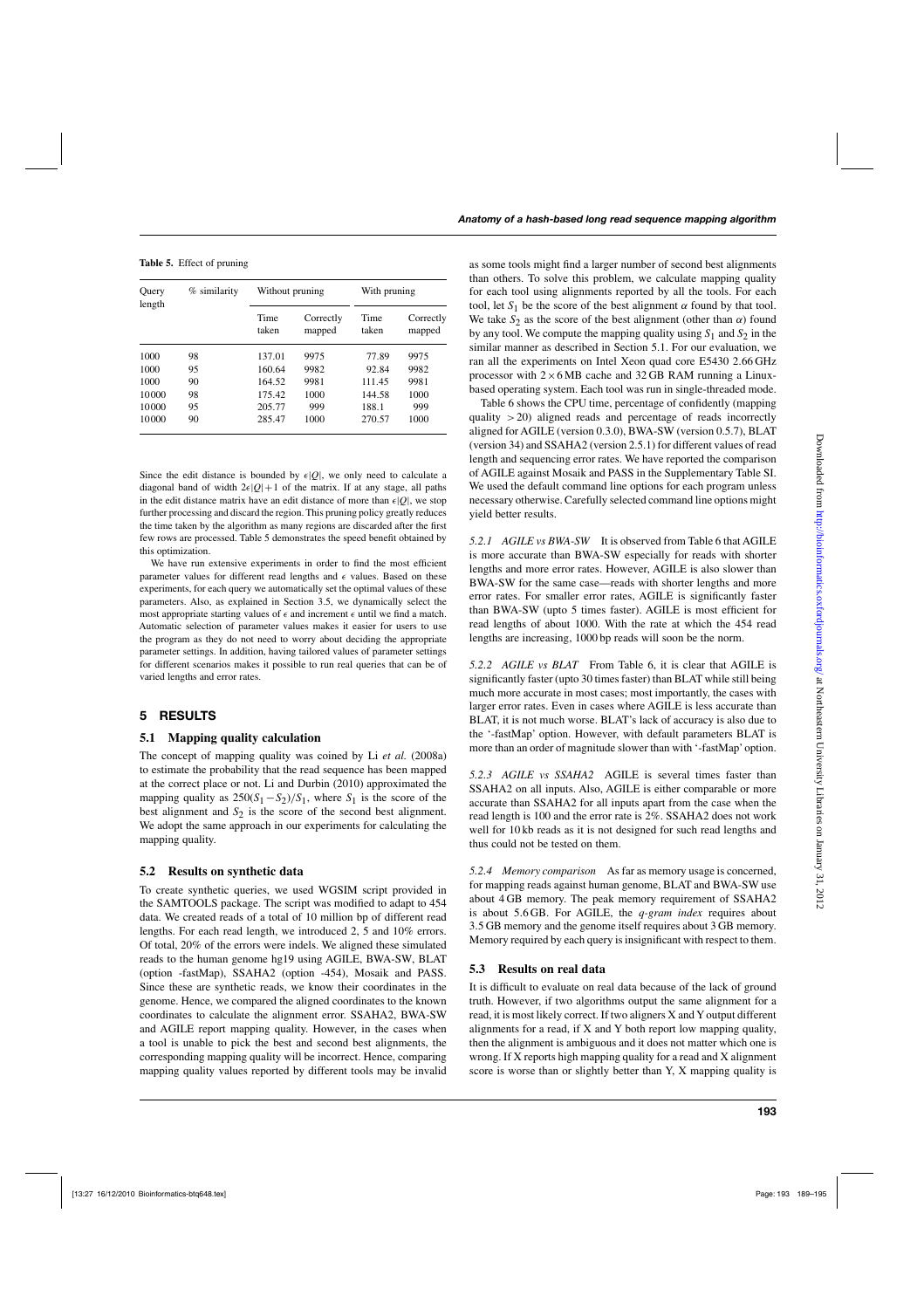| Ouery<br>length | % similarity | Without pruning |                     | With pruning  |                     |  |
|-----------------|--------------|-----------------|---------------------|---------------|---------------------|--|
|                 |              | Time<br>taken   | Correctly<br>mapped | Time<br>taken | Correctly<br>mapped |  |
| 1000            | 98           | 137.01          | 9975                | 77.89         | 9975                |  |
| 1000            | 95           | 160.64          | 9982                | 92.84         | 9982                |  |
| 1000            | 90           | 164.52          | 9981                | 111.45        | 9981                |  |
| 10000           | 98           | 175.42          | 1000                | 144.58        | 1000                |  |
| 10000           | 95           | 205.77          | 999                 | 188.1         | 999                 |  |
| 10000           | 90           | 285.47          | 1000                | 270.57        | 1000                |  |

Since the edit distance is bounded by  $\epsilon |Q|$ , we only need to calculate a diagonal band of width  $2\epsilon|Q|+1$  of the matrix. If at any stage, all paths in the edit distance matrix have an edit distance of more than  $\epsilon |O|$ , we stop further processing and discard the region. This pruning policy greatly reduces the time taken by the algorithm as many regions are discarded after the first few rows are processed. Table 5 demonstrates the speed benefit obtained by this optimization.

We have run extensive experiments in order to find the most efficient parameter values for different read lengths and  $\epsilon$  values. Based on these experiments, for each query we automatically set the optimal values of these parameters. Also, as explained in Section 3.5, we dynamically select the most appropriate starting values of  $\epsilon$  and increment  $\epsilon$  until we find a match. Automatic selection of parameter values makes it easier for users to use the program as they do not need to worry about deciding the appropriate parameter settings. In addition, having tailored values of parameter settings for different scenarios makes it possible to run real queries that can be of varied lengths and error rates.

#### **5 RESULTS**

#### **5.1 Mapping quality calculation**

The concept of mapping quality was coined by Li *et al.* (2008a) to estimate the probability that the read sequence has been mapped at the correct place or not. Li and Durbin (2010) approximated the mapping quality as  $250(S_1 - S_2)/S_1$ , where  $S_1$  is the score of the best alignment and  $S_2$  is the score of the second best alignment. We adopt the same approach in our experiments for calculating the mapping quality.

#### **5.2 Results on synthetic data**

To create synthetic queries, we used WGSIM script provided in the SAMTOOLS package. The script was modified to adapt to 454 data. We created reads of a total of 10 million bp of different read lengths. For each read length, we introduced 2, 5 and 10% errors. Of total, 20% of the errors were indels. We aligned these simulated reads to the human genome hg19 using AGILE, BWA-SW, BLAT (option -fastMap), SSAHA2 (option -454), Mosaik and PASS. Since these are synthetic reads, we know their coordinates in the genome. Hence, we compared the aligned coordinates to the known coordinates to calculate the alignment error. SSAHA2, BWA-SW and AGILE report mapping quality. However, in the cases when a tool is unable to pick the best and second best alignments, the corresponding mapping quality will be incorrect. Hence, comparing mapping quality values reported by different tools may be invalid

as some tools might find a larger number of second best alignments than others. To solve this problem, we calculate mapping quality for each tool using alignments reported by all the tools. For each tool, let  $S_1$  be the score of the best alignment  $\alpha$  found by that tool. We take  $S_2$  as the score of the best alignment (other than  $\alpha$ ) found by any tool. We compute the mapping quality using  $S_1$  and  $S_2$  in the similar manner as described in Section 5.1. For our evaluation, we ran all the experiments on Intel Xeon quad core E5430 2.66 GHz processor with  $2 \times 6$  MB cache and 32 GB RAM running a Linuxbased operating system. Each tool was run in single-threaded mode.

Table 6 shows the CPU time, percentage of confidently (mapping quality >20) aligned reads and percentage of reads incorrectly aligned for AGILE (version 0.3.0), BWA-SW (version 0.5.7), BLAT (version 34) and SSAHA2 (version 2.5.1) for different values of read length and sequencing error rates. We have reported the comparison of AGILE against Mosaik and PASS in the Supplementary Table SI. We used the default command line options for each program unless necessary otherwise. Carefully selected command line options might yield better results.

*5.2.1 AGILE vs BWA-SW* It is observed from Table 6 that AGILE is more accurate than BWA-SW especially for reads with shorter lengths and more error rates. However, AGILE is also slower than BWA-SW for the same case—reads with shorter lengths and more error rates. For smaller error rates, AGILE is significantly faster than BWA-SW (upto 5 times faster). AGILE is most efficient for read lengths of about 1000. With the rate at which the 454 read lengths are increasing, 1000 bp reads will soon be the norm.

*5.2.2 AGILE vs BLAT* From Table 6, it is clear that AGILE is significantly faster (upto 30 times faster) than BLAT while still being much more accurate in most cases; most importantly, the cases with larger error rates. Even in cases where AGILE is less accurate than BLAT, it is not much worse. BLAT's lack of accuracy is also due to the '-fastMap' option. However, with default parameters BLAT is more than an order of magnitude slower than with '-fastMap'option.

*5.2.3 AGILE vs SSAHA2* AGILE is several times faster than SSAHA2 on all inputs. Also, AGILE is either comparable or more accurate than SSAHA2 for all inputs apart from the case when the read length is 100 and the error rate is 2%. SSAHA2 does not work well for 10 kb reads as it is not designed for such read lengths and thus could not be tested on them.

*5.2.4 Memory comparison* As far as memory usage is concerned, for mapping reads against human genome, BLAT and BWA-SW use about 4 GB memory. The peak memory requirement of SSAHA2 is about 5.6 GB. For AGILE, the *q-gram index* requires about 3.5 GB memory and the genome itself requires about 3 GB memory. Memory required by each query is insignificant with respect to them.

#### **5.3 Results on real data**

It is difficult to evaluate on real data because of the lack of ground truth. However, if two algorithms output the same alignment for a read, it is most likely correct. If two aligners X and Y output different alignments for a read, if X and Y both report low mapping quality, then the alignment is ambiguous and it does not matter which one is wrong. If X reports high mapping quality for a read and X alignment score is worse than or slightly better than Y, X mapping quality is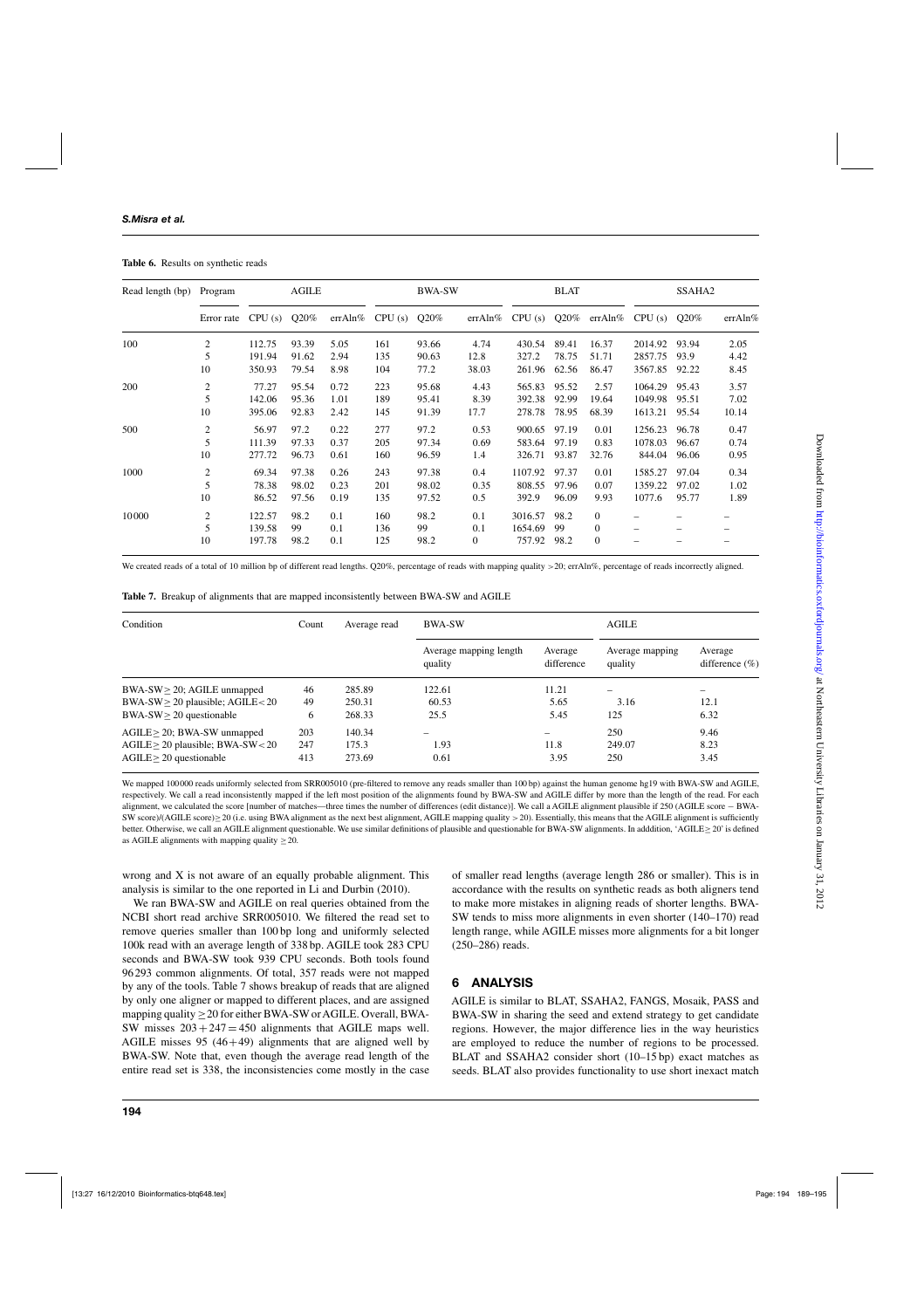#### **Table 6.** Results on synthetic reads

| Read length (bp) | Program        |        |       | <b>AGILE</b> |        | <b>BWA-SW</b> |              |         | <b>BLAT</b> |                |                          | SSAHA <sub>2</sub> |         |
|------------------|----------------|--------|-------|--------------|--------|---------------|--------------|---------|-------------|----------------|--------------------------|--------------------|---------|
|                  | Error rate     | CPU(s) | Q20%  | errAln%      | CPU(s) | Q20%          | errAln%      | CPU(s)  | $Q20\%$     | errAln%        | CPU(s)                   | O20%               | errAln% |
| 100              | $\mathfrak{2}$ | 112.75 | 93.39 | 5.05         | 161    | 93.66         | 4.74         | 430.54  | 89.41       | 16.37          | 2014.92                  | 93.94              | 2.05    |
|                  | 5              | 191.94 | 91.62 | 2.94         | 135    | 90.63         | 12.8         | 327.2   | 78.75       | 51.71          | 2857.75                  | 93.9               | 4.42    |
|                  | 10             | 350.93 | 79.54 | 8.98         | 104    | 77.2          | 38.03        | 261.96  | 62.56       | 86.47          | 3567.85                  | 92.22              | 8.45    |
| 200              | $\mathfrak{2}$ | 77.27  | 95.54 | 0.72         | 223    | 95.68         | 4.43         | 565.83  | 95.52       | 2.57           | 1064.29                  | 95.43              | 3.57    |
|                  | 5              | 142.06 | 95.36 | 1.01         | 189    | 95.41         | 8.39         | 392.38  | 92.99       | 19.64          | 1049.98                  | 95.51              | 7.02    |
|                  | 10             | 395.06 | 92.83 | 2.42         | 145    | 91.39         | 17.7         | 278.78  | 78.95       | 68.39          | 1613.21                  | 95.54              | 10.14   |
| 500              | $\overline{2}$ | 56.97  | 97.2  | 0.22         | 277    | 97.2          | 0.53         | 900.65  | 97.19       | 0.01           | 1256.23                  | 96.78              | 0.47    |
|                  | 5              | 111.39 | 97.33 | 0.37         | 205    | 97.34         | 0.69         | 583.64  | 97.19       | 0.83           | 1078.03                  | 96.67              | 0.74    |
|                  | 10             | 277.72 | 96.73 | 0.61         | 160    | 96.59         | 1.4          | 326.71  | 93.87       | 32.76          | 844.04                   | 96.06              | 0.95    |
| 1000             | 2              | 69.34  | 97.38 | 0.26         | 243    | 97.38         | 0.4          | 1107.92 | 97.37       | 0.01           | 1585.27                  | 97.04              | 0.34    |
|                  | 5              | 78.38  | 98.02 | 0.23         | 201    | 98.02         | 0.35         | 808.55  | 97.96       | 0.07           | 1359.22                  | 97.02              | 1.02    |
|                  | 10             | 86.52  | 97.56 | 0.19         | 135    | 97.52         | 0.5          | 392.9   | 96.09       | 9.93           | 1077.6                   | 95.77              | 1.89    |
| 10000            | 2              | 122.57 | 98.2  | 0.1          | 160    | 98.2          | 0.1          | 3016.57 | 98.2        | $\overline{0}$ |                          |                    |         |
|                  | 5              | 139.58 | 99    | 0.1          | 136    | 99            | 0.1          | 1654.69 | 99          | $\theta$       | $\overline{\phantom{0}}$ |                    |         |
|                  | 10             | 197.78 | 98.2  | 0.1          | 125    | 98.2          | $\mathbf{0}$ | 757.92  | 98.2        | $\theta$       |                          |                    |         |

We created reads of a total of 10 million bp of different read lengths. Q20%, percentage of reads with mapping quality >20; errAln%, percentage of reads incorrectly aligned.

| Condition                                | Count | Average read | <b>BWA-SW</b>                     |                       | <b>AGILE</b>               |                               |  |
|------------------------------------------|-------|--------------|-----------------------------------|-----------------------|----------------------------|-------------------------------|--|
|                                          |       |              | Average mapping length<br>quality | Average<br>difference | Average mapping<br>quality | Average<br>difference $(\% )$ |  |
| $BWA-SW > 20$ ; AGILE unmapped           | 46    | 285.89       | 122.61                            | 11.21                 |                            |                               |  |
| BWA-SW $\geq$ 20 plausible; AGILE $<$ 20 | 49    | 250.31       | 60.53                             | 5.65                  | 3.16                       | 12.1                          |  |
| $BWA-SW \geq 20$ questionable            | 6     | 268.33       | 25.5                              | 5.45                  | 125                        | 6.32                          |  |
| $AGILE > 20$ ; BWA-SW unmapped           | 203   | 140.34       | $\qquad \qquad$                   |                       | 250                        | 9.46                          |  |
| $AGILE \ge 20$ plausible; BWA-SW < 20    | 247   | 175.3        | 1.93                              | 11.8                  | 249.07                     | 8.23                          |  |
| $AGILE \geq 20$ questionable             | 413   | 273.69       | 0.61                              | 3.95                  | 250                        | 3.45                          |  |

We mapped 100000 reads uniformly selected from SRR005010 (pre-filtered to remove any reads smaller than 100 bp) against the human genome hg19 with BWA-SW and AGILE, respectively. We call a read inconsistently mapped if the left most position of the alignments found by BWA-SW and AGILE differ by more than the length of the read. For each alignment, we calculated the score [number of matches—three times the number of differences (edit distance)]. We call a AGILE alignment plausible if 250 (AGILE score − BWA-SW score)/(AGILE score)≥20 (i.e. using BWA alignment as the next best alignment, AGILE mapping quality >20). Essentially, this means that the AGILE alignment is sufficiently better. Otherwise, we call an AGILE alignment questionable. We use similar definitions of plausible and questionable for BWA-SW alignments. In adddition, 'AGILE≥ 20' is defined as AGILE alignments with mapping quality  $\geq$  20.

wrong and X is not aware of an equally probable alignment. This analysis is similar to the one reported in Li and Durbin (2010).

We ran BWA-SW and AGILE on real queries obtained from the NCBI short read archive SRR005010. We filtered the read set to remove queries smaller than 100 bp long and uniformly selected 100k read with an average length of 338 bp. AGILE took 283 CPU seconds and BWA-SW took 939 CPU seconds. Both tools found 96293 common alignments. Of total, 357 reads were not mapped by any of the tools. Table 7 shows breakup of reads that are aligned by only one aligner or mapped to different places, and are assigned mapping quality ≥20 for either BWA-SW orAGILE. Overall, BWA-SW misses  $203 + 247 = 450$  alignments that AGILE maps well. AGILE misses  $95 (46+49)$  alignments that are aligned well by BWA-SW. Note that, even though the average read length of the entire read set is 338, the inconsistencies come mostly in the case

of smaller read lengths (average length 286 or smaller). This is in accordance with the results on synthetic reads as both aligners tend to make more mistakes in aligning reads of shorter lengths. BWA-SW tends to miss more alignments in even shorter (140–170) read length range, while AGILE misses more alignments for a bit longer (250–286) reads.

# **6 ANALYSIS**

AGILE is similar to BLAT, SSAHA2, FANGS, Mosaik, PASS and BWA-SW in sharing the seed and extend strategy to get candidate regions. However, the major difference lies in the way heuristics are employed to reduce the number of regions to be processed. BLAT and SSAHA2 consider short (10–15 bp) exact matches as seeds. BLAT also provides functionality to use short inexact match